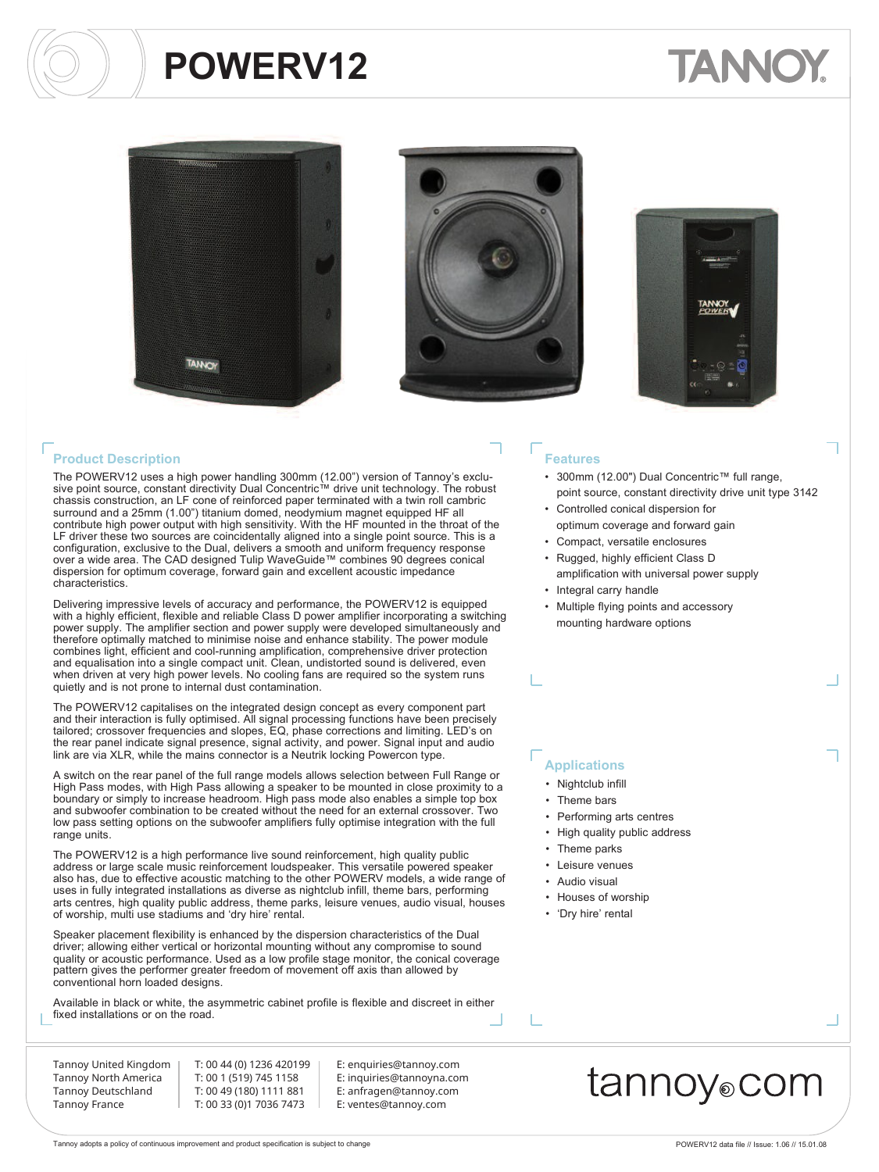# **TANNO**







#### **Product Description**

The POWERV12 uses a high power handling 300mm (12.00") version of Tannoy's exclu-sive point source, constant directivity Dual Concentric™ drive unit technology. The robust chassis construction, an LF cone of reinforced paper terminated with a twin roll cambric surround and a 25mm (1.00") titanium domed, neodymium magnet equipped HF all contribute high power output with high sensitivity. With the HF mounted in the throat of the LF driver these two sources are coincidentally aligned into a single point source. This is a configuration, exclusive to the Dual, delivers a smooth and uniform frequency response over a wide area. The CAD designed Tulip WaveGuide™ combines 90 degrees conical dispersion for optimum coverage, forward gain and excellent acoustic impedance characteristics.

Delivering impressive levels of accuracy and performance, the POWERV12 is equipped with a highly efficient, flexible and reliable Class D power amplifier incorporating a switching power supply. The amplifier section and power supply were developed simultaneously and therefore optimally matched to minimise noise and enhance stability. The power module combines light, efficient and cool-running amplification, comprehensive driver protection and equalisation into a single compact unit. Clean, undistorted sound is delivered, even when driven at very high power levels. No cooling fans are required so the system runs quietly and is not prone to internal dust contamination.

The POWERV12 capitalises on the integrated design concept as every component part and their interaction is fully optimised. All signal processing functions have been precisely tailored; crossover frequencies and slopes, EQ, phase corrections and limiting. LED's on the rear panel indicate signal presence, signal activity, and power. Signal input and audio link are via XLR, while the mains connector is a Neutrik locking Powercon type.

A switch on the rear panel of the full range models allows selection between Full Range or High Pass modes, with High Pass allowing a speaker to be mounted in close proximity to a boundary or simply to increase headroom. High pass mode also enables a simple top box and subwoofer combination to be created without the need for an external crossover. Two low pass setting options on the subwoofer amplifiers fully optimise integration with the full range units.

The POWERV12 is a high performance live sound reinforcement, high quality public address or large scale music reinforcement loudspeaker. This versatile powered speaker also has, due to effective acoustic matching to the other POWERV models, a wide range of uses in fully integrated installations as diverse as nightclub infill, theme bars, performing arts centres, high quality public address, theme parks, leisure venues, audio visual, houses of worship, multi use stadiums and 'dry hire' rental.

Speaker placement flexibility is enhanced by the dispersion characteristics of the Dual driver; allowing either vertical or horizontal mounting without any compromise to sound quality or acoustic performance. Used as a low profile stage monitor, the conical coverage pattern gives the performer greater freedom of movement off axis than allowed by conventional horn loaded designs.

Available in black or white, the asymmetric cabinet profile is flexible and discreet in either fixed installations or on the road.

Tannoy United Kingdom Tannoy North America Tannoy Deutschland Tannoy France

T: 00 44 (0) 1236 420199 T: 00 1 (519) 745 1158 T: 00 49 (180) 1111 881 T: 00 33 (0)1 7036 7473

E: enquiries@tannoy.com E: inquiries@tannoyna.com E: anfragen@tannoy.com E: ventes@tannoy.com

#### **Features**

- 300mm (12.00") Dual Concentric™ full range, point source, constant directivity drive unit type 3142
- Controlled conical dispersion for optimum coverage and forward gain
- Compact, versatile enclosures
- Rugged, highly efficient Class D amplification with universal power supply
- Integral carry handle
- Multiple flying points and accessory mounting hardware options

#### **Applications**

- Nightclub infill
- Theme bars
- Performing arts centres
- High quality public address
- Theme parks
- Leisure venues
- Audio visual
- Houses of worship
- 'Dry hire' rental

### tannoy⊚com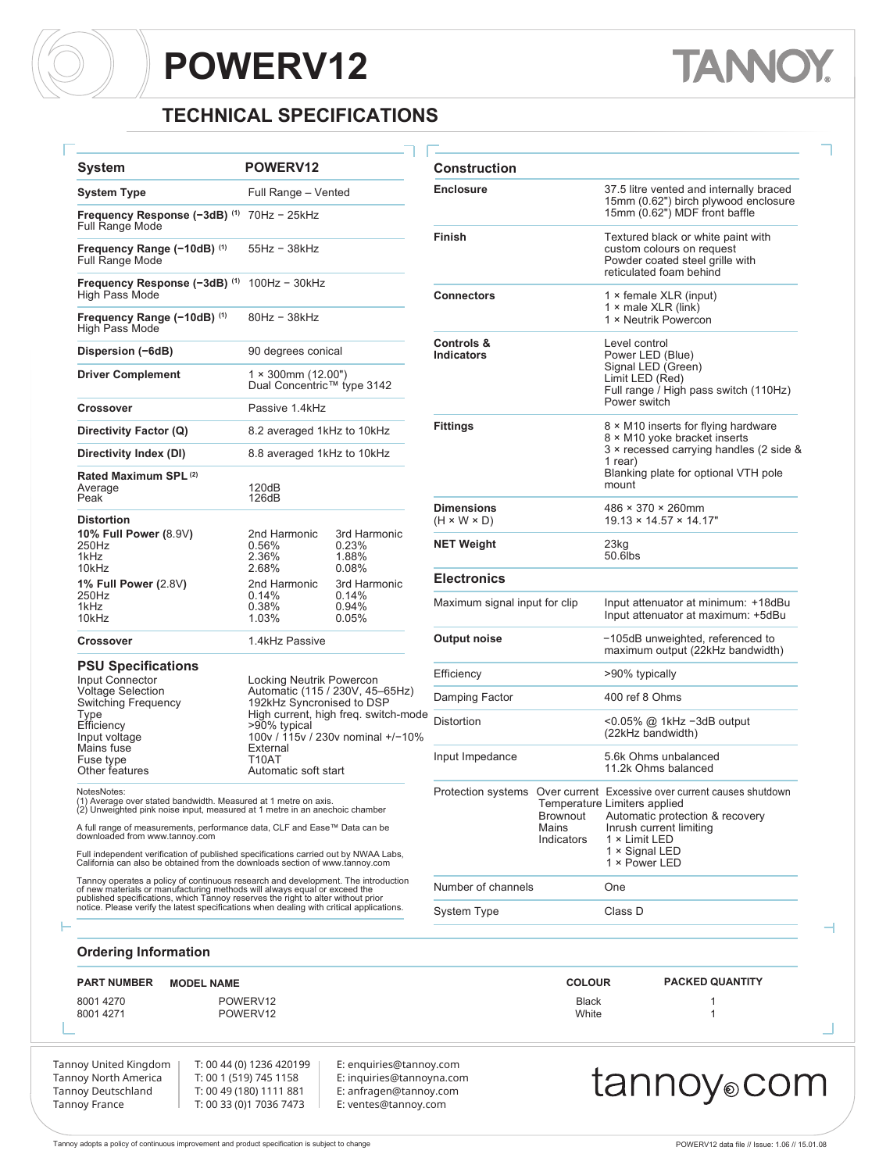### **TECHNICAL SPECIFICATIONS**

| <b>System</b>                                                                                                                                                                                                                                      | POWERV12                                         |                                                                           | Construction                                 |  |  |  |  |  |  |  |  |
|----------------------------------------------------------------------------------------------------------------------------------------------------------------------------------------------------------------------------------------------------|--------------------------------------------------|---------------------------------------------------------------------------|----------------------------------------------|--|--|--|--|--|--|--|--|
| System Type                                                                                                                                                                                                                                        | Full Range - Vented                              | <b>Enclosure</b>                                                          |                                              |  |  |  |  |  |  |  |  |
| <b>Frequency Response (-3dB)</b> $^{(1)}$ 70Hz - 25kHz<br><b>Full Range Mode</b>                                                                                                                                                                   |                                                  |                                                                           | <b>Finish</b>                                |  |  |  |  |  |  |  |  |
| Frequency Range (-10dB) (1)<br>Full Range Mode                                                                                                                                                                                                     |                                                  |                                                                           |                                              |  |  |  |  |  |  |  |  |
| Frequency Response (-3dB) (1)<br>High Pass Mode                                                                                                                                                                                                    | $100Hz - 30kHz$                                  |                                                                           |                                              |  |  |  |  |  |  |  |  |
| Frequency Range (-10dB) (1)<br>High Pass Mode                                                                                                                                                                                                      | 80Hz - 38kHz                                     |                                                                           | Controls &                                   |  |  |  |  |  |  |  |  |
| Dispersion (-6dB)                                                                                                                                                                                                                                  | 90 degrees conical                               |                                                                           |                                              |  |  |  |  |  |  |  |  |
| <b>Driver Complement</b>                                                                                                                                                                                                                           | 1 × 300mm (12.00")<br>Dual Concentric™ type 3142 |                                                                           |                                              |  |  |  |  |  |  |  |  |
| Crossover                                                                                                                                                                                                                                          | Passive 1.4kHz                                   |                                                                           |                                              |  |  |  |  |  |  |  |  |
| Directivity Factor (Q)                                                                                                                                                                                                                             | <b>Fittings</b>                                  |                                                                           |                                              |  |  |  |  |  |  |  |  |
| Directivity Index (DI)                                                                                                                                                                                                                             | 8.8 averaged 1kHz to 10kHz                       |                                                                           |                                              |  |  |  |  |  |  |  |  |
| Rated Maximum SPL <sup>(2)</sup><br>Average<br>Peak                                                                                                                                                                                                | 120dB<br>126dB                                   |                                                                           |                                              |  |  |  |  |  |  |  |  |
| <b>Distortion</b>                                                                                                                                                                                                                                  |                                                  |                                                                           | <b>Dimensions</b><br>$(H \times W \times D)$ |  |  |  |  |  |  |  |  |
| <b>10% Full Power (8.9V)</b><br>250Hz<br>1kHz<br>10kHz                                                                                                                                                                                             | 2nd Harmonic<br>0.56%<br>2.36%<br>2.68%          | 3rd Harmonic<br>0.23%<br>1.88%<br>0.08%                                   | <b>NET Weight</b>                            |  |  |  |  |  |  |  |  |
| 1% Full Power (2.8V)                                                                                                                                                                                                                               | 2nd Harmonic                                     | 3rd Harmonic                                                              | <b>Electronics</b>                           |  |  |  |  |  |  |  |  |
| 250Hz<br>1kHz<br>10kHz                                                                                                                                                                                                                             | 0.14%<br>0.38%<br>1.03%                          | 0.14%<br>0.94%<br>0.05%                                                   | Maximum signal                               |  |  |  |  |  |  |  |  |
| Crossover                                                                                                                                                                                                                                          | Output noise                                     |                                                                           |                                              |  |  |  |  |  |  |  |  |
| <b>PSU Specifications</b><br>Input Connector                                                                                                                                                                                                       | Locking Neutrik Powercon                         |                                                                           | Efficiency                                   |  |  |  |  |  |  |  |  |
| Voltage Selection<br>Switching Frequency                                                                                                                                                                                                           | 192kHz Syncronised to DSP                        | Automatic (115 / 230V, 45-65Hz)                                           | Damping Factor                               |  |  |  |  |  |  |  |  |
| Type<br>Efficiency<br>Input voltage                                                                                                                                                                                                                | >90% typical                                     | High current, high freq. switch-mode<br>100v / 115v / 230v nominal +/-10% | <b>Distortion</b>                            |  |  |  |  |  |  |  |  |
| Mains fuse<br>Fuse type<br>Other features                                                                                                                                                                                                          | External<br>T10AT<br>Automatic soft start        |                                                                           | Input Impedance                              |  |  |  |  |  |  |  |  |
| NotesNotes:<br>(1) Average over stated bandwidth. Measured at 1 metre on axis.<br>(2) Unweighted pink noise input, measured at 1 metre in an anechoic chamber                                                                                      |                                                  |                                                                           | Protection syster                            |  |  |  |  |  |  |  |  |
| A full range of measurements, performance data, CLF and Ease™ Data can be<br>downloaded from www.tannoy.com                                                                                                                                        |                                                  |                                                                           |                                              |  |  |  |  |  |  |  |  |
| Full independent verification of published specifications carried out by NWAA Labs,<br>California can also be obtained from the downloads section of www.tannoy.com                                                                                |                                                  |                                                                           |                                              |  |  |  |  |  |  |  |  |
| Tannoy operates a policy of continuous research and development. The introduction<br>of new materials or manufacturing methods will always equal or exceed the<br>published specifications, which Tannoy reserves the right to alter without prior |                                                  |                                                                           | Number of chanr                              |  |  |  |  |  |  |  |  |
| notice. Please verify the latest specifications when dealing with critical applications.                                                                                                                                                           |                                                  | System Type                                                               |                                              |  |  |  |  |  |  |  |  |

| <b>System</b>                                                                                                                                                                                                                              | POWERV12                                                     |                                                                           | <b>Construction</b>                          |                   |                                                                                                                                                                      |                                                                                                                               |  |  |  |  |  |  |  |  |
|--------------------------------------------------------------------------------------------------------------------------------------------------------------------------------------------------------------------------------------------|--------------------------------------------------------------|---------------------------------------------------------------------------|----------------------------------------------|-------------------|----------------------------------------------------------------------------------------------------------------------------------------------------------------------|-------------------------------------------------------------------------------------------------------------------------------|--|--|--|--|--|--|--|--|
| System Type                                                                                                                                                                                                                                | Full Range - Vented                                          |                                                                           | <b>Enclosure</b>                             |                   | 37.5 litre vented and internally braced<br>15mm (0.62") birch plywood enclosure                                                                                      |                                                                                                                               |  |  |  |  |  |  |  |  |
| <b>Frequency Response (–3dB) <sup>(1)</sup> 70Hz – 25kHz</b><br>Full Range Mode                                                                                                                                                            |                                                              |                                                                           |                                              |                   |                                                                                                                                                                      | 15mm (0.62") MDF front baffle                                                                                                 |  |  |  |  |  |  |  |  |
| Frequency Range (−10dB) <sup>(1)</sup><br>Full Range Mode                                                                                                                                                                                  | $55Hz - 38kHz$                                               |                                                                           | Finish                                       |                   |                                                                                                                                                                      | Textured black or white paint with<br>custom colours on request<br>Powder coated steel grille with<br>reticulated foam behind |  |  |  |  |  |  |  |  |
| <b>Frequency Response (−3dB) ⑴ 100Hz − 30kHz</b><br>High Pass Mode                                                                                                                                                                         |                                                              |                                                                           | <b>Connectors</b>                            |                   |                                                                                                                                                                      | 1 × female XLR (input)                                                                                                        |  |  |  |  |  |  |  |  |
| Frequency Range (-10dB) (1)<br>High Pass Mode                                                                                                                                                                                              | 80Hz - 38kHz                                                 |                                                                           |                                              |                   | 1 $\times$ male XLR (link)<br>1 × Neutrik Powercon                                                                                                                   |                                                                                                                               |  |  |  |  |  |  |  |  |
| Dispersion (–6dB)                                                                                                                                                                                                                          | 90 degrees conical                                           |                                                                           | Controls &<br>Indicators                     |                   | Level control<br>Power LED (Blue)<br>Signal LED (Green)<br>Limit LED (Red)<br>Full range / High pass switch (110Hz)                                                  |                                                                                                                               |  |  |  |  |  |  |  |  |
| Driver Complement                                                                                                                                                                                                                          | $1 \times 300$ mm $(12.00")$<br>Dual Concentric™ type 3142   |                                                                           |                                              |                   |                                                                                                                                                                      |                                                                                                                               |  |  |  |  |  |  |  |  |
| Crossover                                                                                                                                                                                                                                  | Passive 1.4kHz                                               |                                                                           |                                              |                   | Power switch                                                                                                                                                         |                                                                                                                               |  |  |  |  |  |  |  |  |
| Directivity Factor (Q)                                                                                                                                                                                                                     | 8.2 averaged 1kHz to 10kHz                                   |                                                                           | <b>Fittings</b>                              |                   |                                                                                                                                                                      | 8 × M10 inserts for flying hardware<br>8 × M10 yoke bracket inserts                                                           |  |  |  |  |  |  |  |  |
| Directivity Index (DI)                                                                                                                                                                                                                     | 8.8 averaged 1kHz to 10kHz                                   |                                                                           |                                              |                   | 1 rear)                                                                                                                                                              | 3 × recessed carrying handles (2 side &                                                                                       |  |  |  |  |  |  |  |  |
| Rated Maximum SPL (2)<br>Average<br>Peak                                                                                                                                                                                                   | 120dB<br>126dB                                               |                                                                           |                                              |                   | mount                                                                                                                                                                | Blanking plate for optional VTH pole                                                                                          |  |  |  |  |  |  |  |  |
| Distortion                                                                                                                                                                                                                                 |                                                              |                                                                           | <b>Dimensions</b><br>$(H \times W \times D)$ |                   | $486 \times 370 \times 260$ mm                                                                                                                                       | $19.13 \times 14.57 \times 14.17$ "                                                                                           |  |  |  |  |  |  |  |  |
| <b>10% Full Power (8.9V)</b><br>250Hz<br>1kHz                                                                                                                                                                                              | 2nd Harmonic<br>0.56%<br>2.36%<br>2.68%                      | 3rd Harmonic<br>0.23%<br>1.88%                                            | NET Weight                                   |                   | 23kg<br>50.6lbs                                                                                                                                                      |                                                                                                                               |  |  |  |  |  |  |  |  |
| 10kHz<br>1% Full Power (2.8V)                                                                                                                                                                                                              | 2nd Harmonic                                                 | 0.08%<br>3rd Harmonic                                                     | <b>Electronics</b>                           |                   |                                                                                                                                                                      |                                                                                                                               |  |  |  |  |  |  |  |  |
| 250Hz<br>1kHz<br>10kHz                                                                                                                                                                                                                     | 0.14%<br>0.38%<br>1.03%                                      | $0.14\%$<br>0.94%<br>0.05%                                                | Maximum signal input for clip                |                   | Input attenuator at minimum: +18dBu<br>Input attenuator at maximum: +5dBu                                                                                            |                                                                                                                               |  |  |  |  |  |  |  |  |
| Crossover                                                                                                                                                                                                                                  | 1.4kHz Passive                                               |                                                                           | Output noise                                 |                   |                                                                                                                                                                      | -105dB unweighted, referenced to<br>maximum output (22kHz bandwidth)                                                          |  |  |  |  |  |  |  |  |
| <b>PSU Specifications</b><br>Input Connector                                                                                                                                                                                               | Locking Neutrik Powercon                                     |                                                                           | Efficiency                                   |                   | >90% typically                                                                                                                                                       |                                                                                                                               |  |  |  |  |  |  |  |  |
| Voltage Selection<br>Switching Frequency                                                                                                                                                                                                   | Automatic (115 / 230V, 45-65Hz)<br>192kHz Syncronised to DSP |                                                                           | Damping Factor                               |                   | 400 ref 8 Ohms                                                                                                                                                       |                                                                                                                               |  |  |  |  |  |  |  |  |
| Type<br>Efficiency<br>Input voltage                                                                                                                                                                                                        | >90% typical                                                 | High current, high freg. switch-mode<br>100v / 115v / 230v nominal +/-10% | Distortion                                   |                   | (22kHz bandwidth)                                                                                                                                                    | <0.05% @ 1kHz -3dB output                                                                                                     |  |  |  |  |  |  |  |  |
| Mains fuse<br>Fuse type<br>Other features                                                                                                                                                                                                  | External<br><b>T10AT</b><br>Automatic soft start             |                                                                           | Input Impedance                              |                   | 11.2k Ohms balanced                                                                                                                                                  | 5.6k Ohms unbalanced                                                                                                          |  |  |  |  |  |  |  |  |
| NotesNotes:<br>(1) Average over stated bandwidth. Measured at 1 metre on axis.<br>(2) Unweighted pink noise input, measured at 1 metre in an anechoic chamber<br>A full range of measurements, performance data, CLF and Ease™ Data can be |                                                              |                                                                           |                                              | Brownout<br>Mains | Protection systems Over current Excessive over current causes shutdown<br>Temperature Limiters applied<br>Automatic protection & recovery<br>Inrush current limiting |                                                                                                                               |  |  |  |  |  |  |  |  |
| downloaded from www.tannoy.com<br>Full independent verification of published specifications carried out by NWAA Labs,<br>California can also be obtained from the downloads section of www.tannoy.com                                      |                                                              |                                                                           |                                              | Indicators        | 1 × Limit LED<br>1 × Signal LED<br>1 × Power LED                                                                                                                     |                                                                                                                               |  |  |  |  |  |  |  |  |
| Tannoy operates a policy of continuous research and development. The introduction<br>of new materials or manufacturing methods will always equal or exceed the                                                                             |                                                              |                                                                           | Number of channels                           |                   | One                                                                                                                                                                  |                                                                                                                               |  |  |  |  |  |  |  |  |
| published specifications, which Tannoy reserves the right to alter without prior<br>notice. Please verify the latest specifications when dealing with critical applications.                                                               |                                                              |                                                                           | System Type                                  |                   | Class D                                                                                                                                                              |                                                                                                                               |  |  |  |  |  |  |  |  |
| <b>Ordering Information</b>                                                                                                                                                                                                                |                                                              |                                                                           |                                              |                   |                                                                                                                                                                      |                                                                                                                               |  |  |  |  |  |  |  |  |
| <b>PART NUMBER</b><br><b>MODEL NAME</b>                                                                                                                                                                                                    |                                                              |                                                                           |                                              | <b>COLOUR</b>     |                                                                                                                                                                      | <b>PACKED QUANTITY</b>                                                                                                        |  |  |  |  |  |  |  |  |
| 8001 4270                                                                                                                                                                                                                                  | POWERV12<br>POWERV12                                         |                                                                           |                                              | <b>Black</b>      |                                                                                                                                                                      | 1                                                                                                                             |  |  |  |  |  |  |  |  |

#### Tannoy United Kingdom Tannoy North America Tannoy Deutschland Tannoy France

Н

E: enquiries@tannoy.com E: inquiries@tannoyna.com E: anfragen@tannoy.com E: ventes@tannoy.com

### tannoy®com

 $\overline{\phantom{0}}$ 

**TANNO** 

٦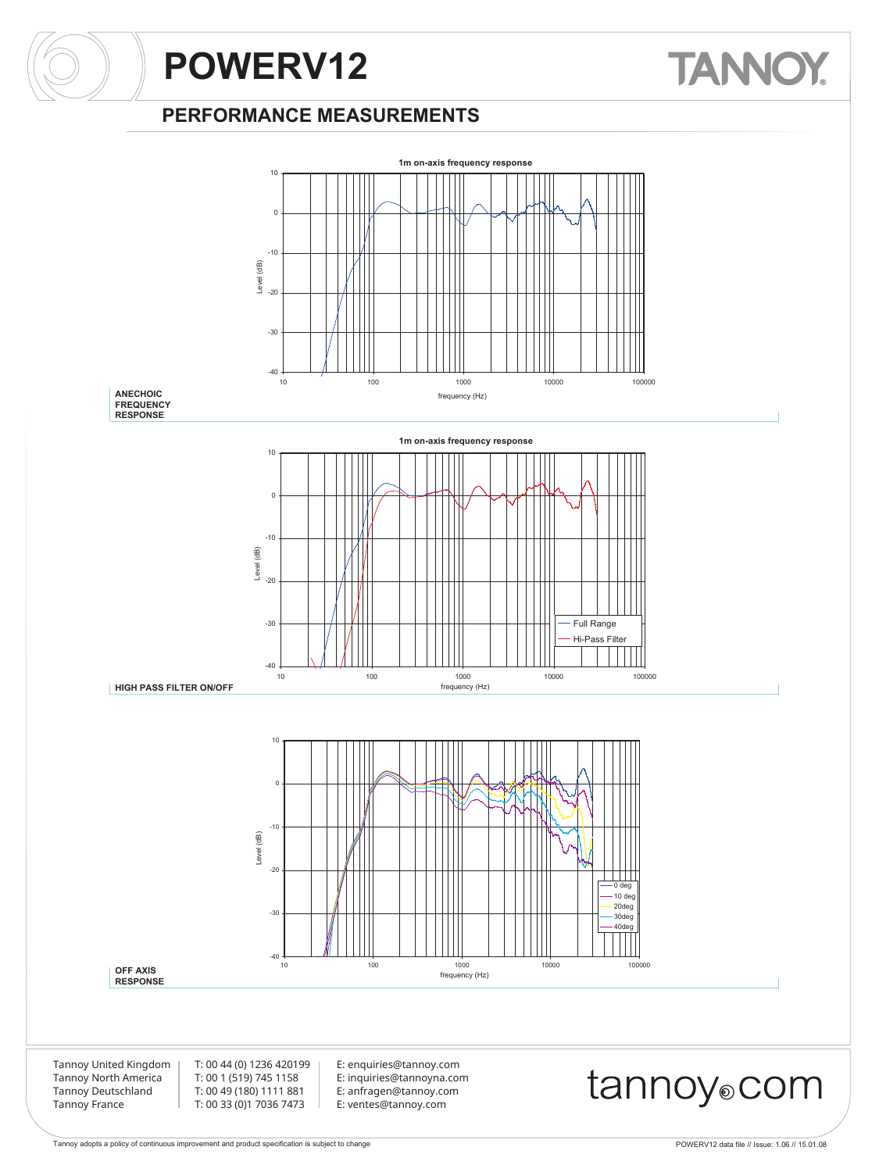#### **PERFORMANCE MEASUREMENTS**



**TANNO**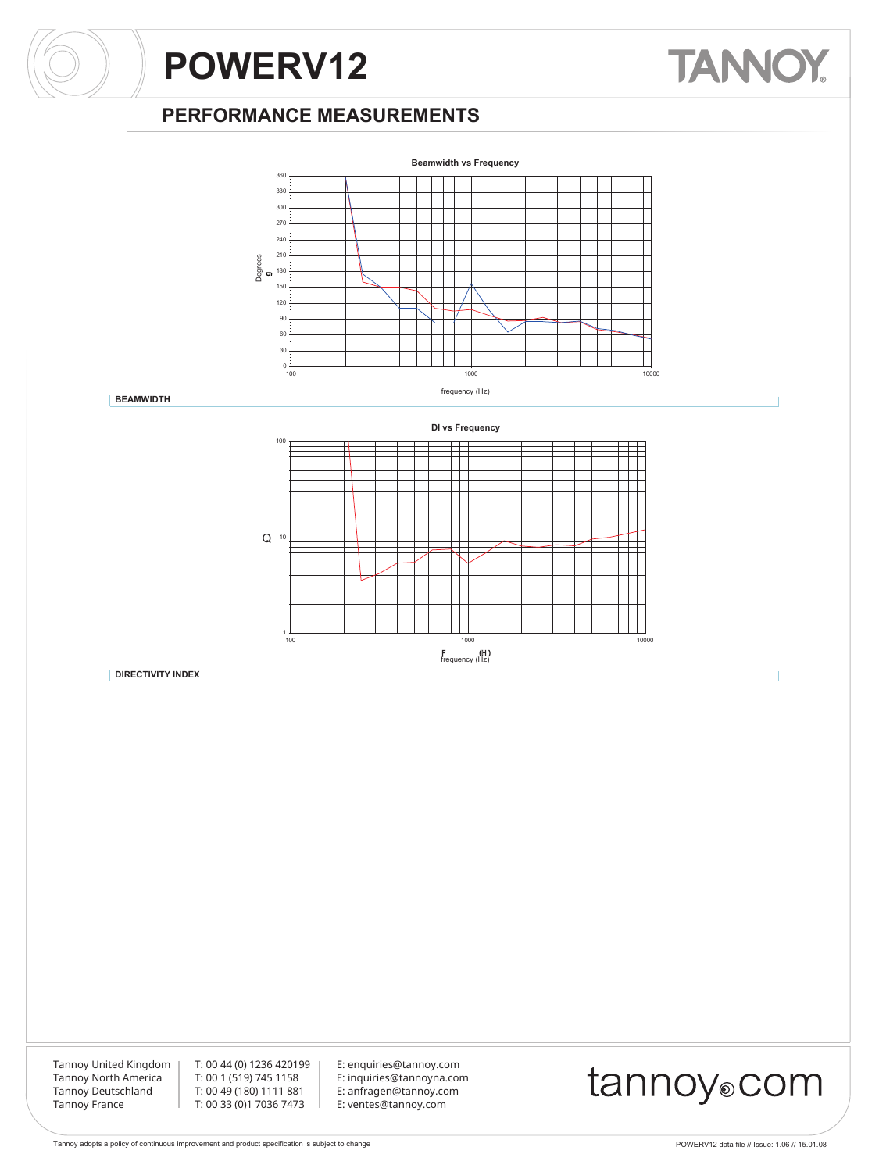# **TANNOY.**

### **PERFORMANCE MEASUREMENTS**



**BEAMWIDTH**



**DIRECTIVITY INDEX**

Tannoy United Kingdom Tannoy North America Tannoy Deutschland Tannoy France

T: 00 44 (0) 1236 420199 T: 00 1 (519) 745 1158 T: 00 49 (180) 1111 881 T: 00 33 (0)1 7036 7473

E: enquiries@tannoy.com E: inquiries@tannoyna.com E: anfragen@tannoy.com E: ventes@tannoy.com

### tannoy®com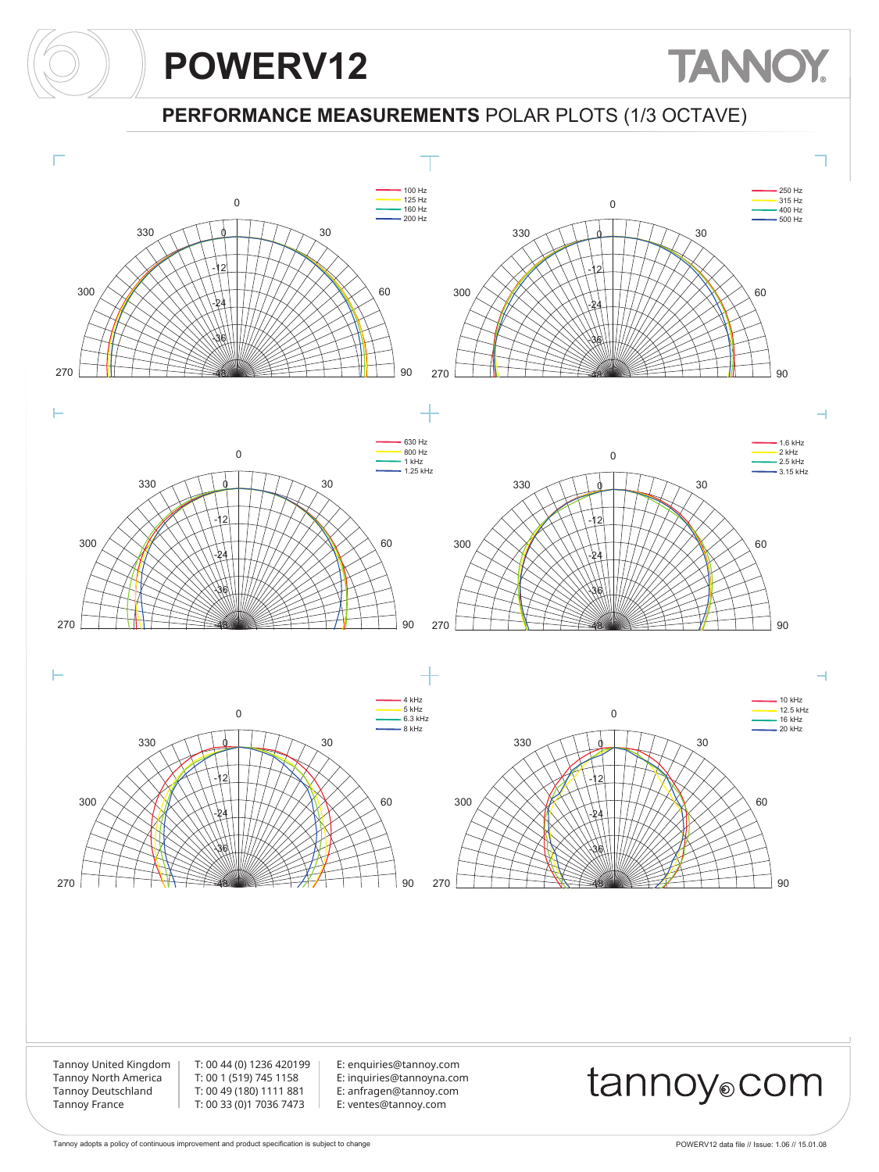#### **PERFORMANCE MEASUREMENTS** POLAR PLOTS (1/3 OCTAVE)



**TANNOY**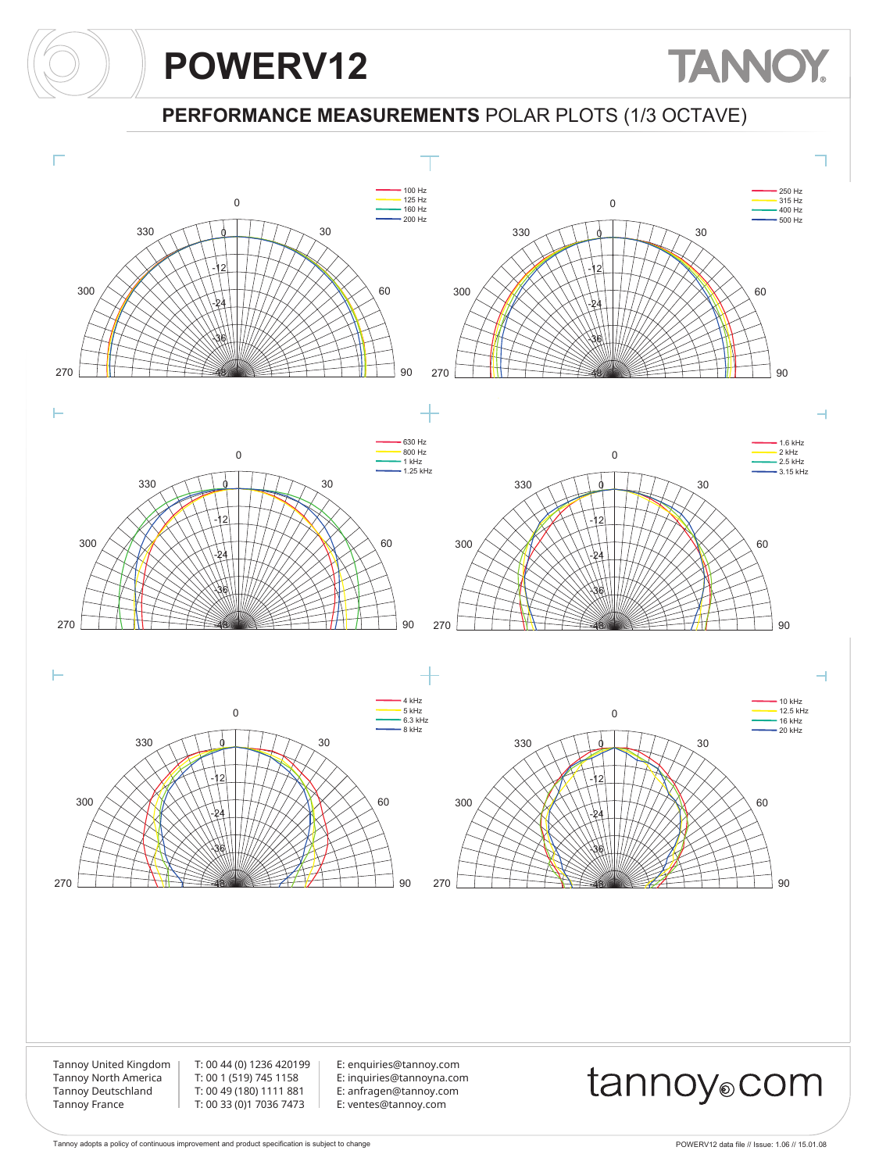## **TANNOY**

**PERFORMANCE MEASUREMENTS** POLAR PLOTS (1/3 OCTAVE)

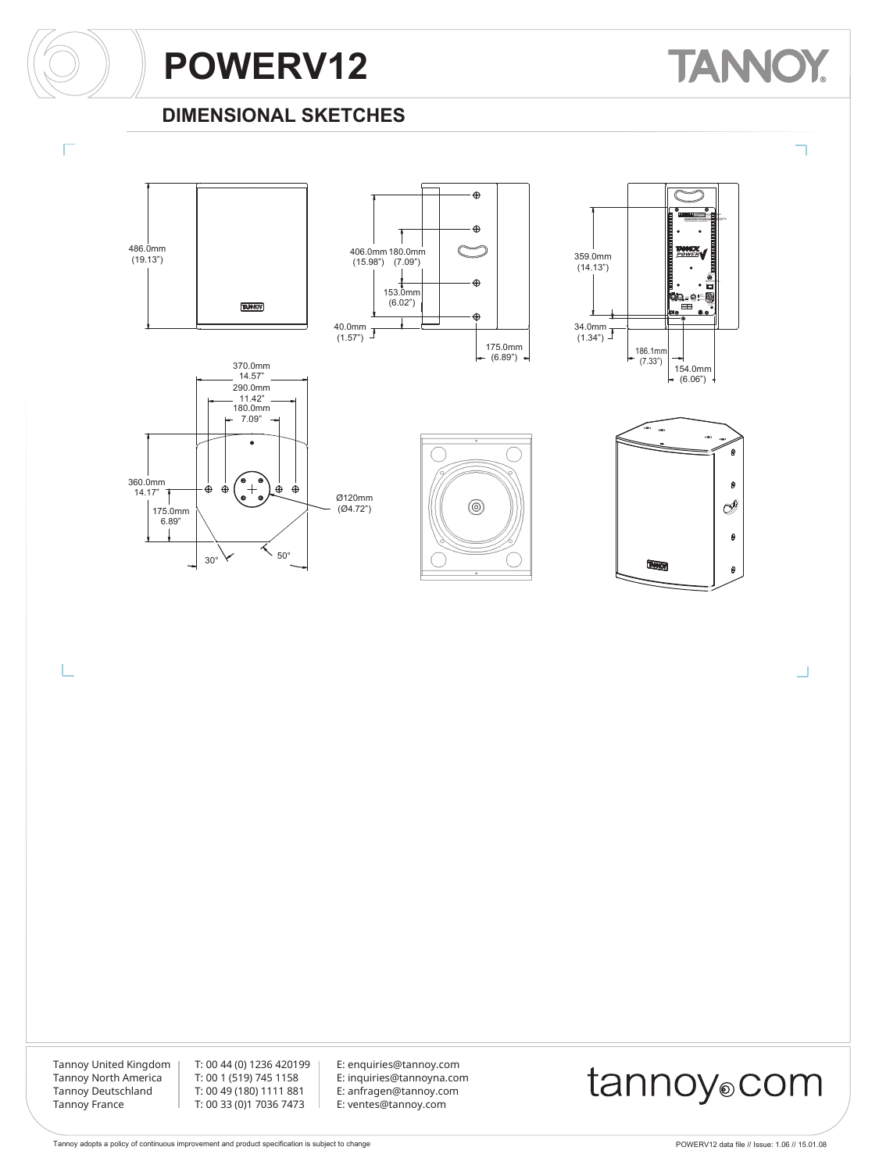# **TANNOY**

### **DIMENSIONAL SKETCHES**













Ü

Tannoy United Kingdom Tannoy North America Tannoy Deutschland Tannoy France

L

T: 00 44 (0) 1236 420199 T: 00 1 (519) 745 1158 T: 00 49 (180) 1111 881 T: 00 33 (0)1 7036 7473

E: enquiries@tannoy.com E: inquiries@tannoyna.com E: anfragen@tannoy.com E: ventes@tannoy.com

### tannoy®com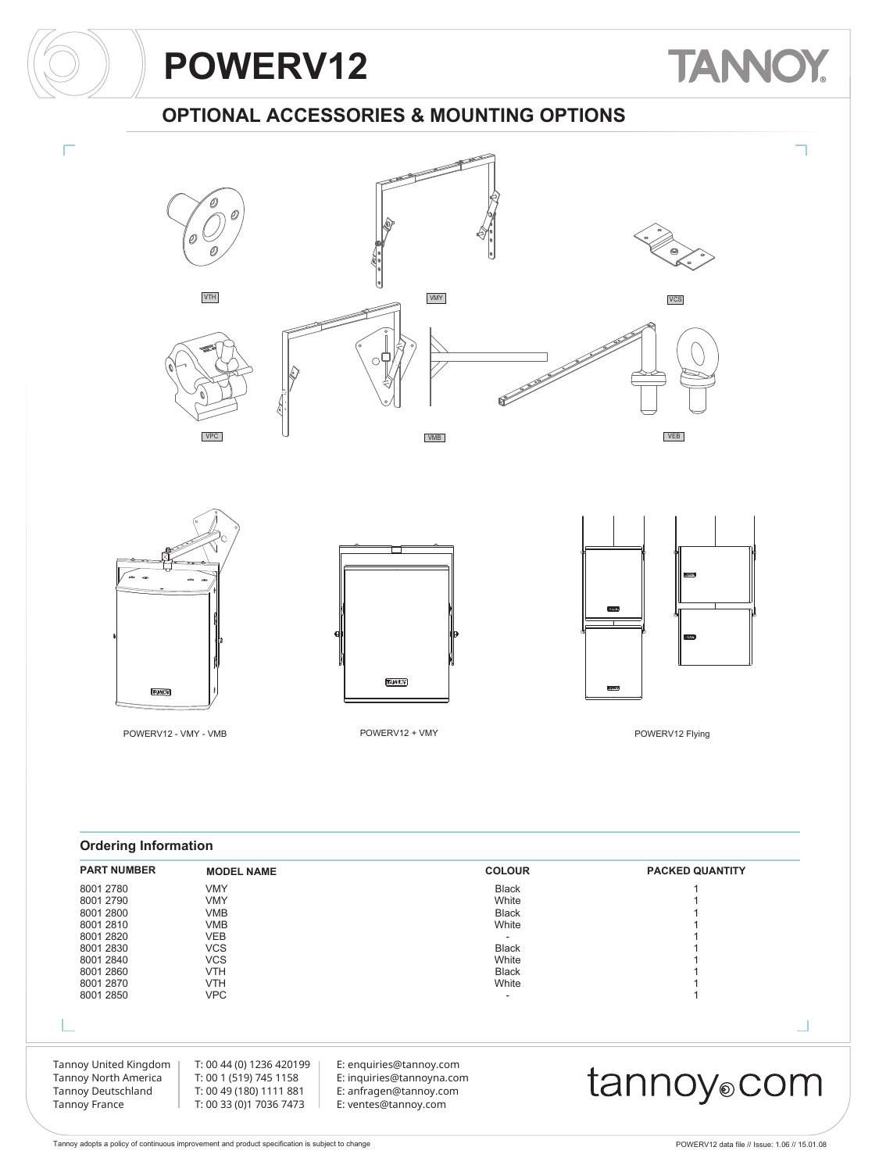# **TANNOY**

### **OPTIONAL ACCESSORIES & MOUNTING OPTIONS**







VMB







POWERV12 - VMY - VMB POWERV12 + VMY POWERV12 Flying





#### **Ordering Information**

| <b>PART NUMBER</b>                                                                                 | <b>MODEL NAME</b>                                                                                        |                                                                                                        | <b>COLOUR</b> | <b>PACKED QUANTITY</b> |
|----------------------------------------------------------------------------------------------------|----------------------------------------------------------------------------------------------------------|--------------------------------------------------------------------------------------------------------|---------------|------------------------|
| 8001 2780                                                                                          | <b>VMY</b>                                                                                               |                                                                                                        | <b>Black</b>  |                        |
| 8001 2790                                                                                          | <b>VMY</b>                                                                                               |                                                                                                        | White         |                        |
| 8001 2800                                                                                          | <b>VMB</b>                                                                                               |                                                                                                        | <b>Black</b>  |                        |
| 8001 2810                                                                                          | <b>VMB</b>                                                                                               |                                                                                                        | White         |                        |
| 8001 2820                                                                                          | <b>VEB</b>                                                                                               |                                                                                                        |               |                        |
| 8001 2830                                                                                          | <b>VCS</b>                                                                                               |                                                                                                        | <b>Black</b>  |                        |
| 8001 2840                                                                                          | <b>VCS</b>                                                                                               |                                                                                                        | White         |                        |
| 8001 2860                                                                                          | <b>VTH</b>                                                                                               |                                                                                                        | <b>Black</b>  |                        |
| 8001 2870                                                                                          | <b>VTH</b>                                                                                               |                                                                                                        | White         |                        |
| 8001 2850                                                                                          | <b>VPC</b>                                                                                               |                                                                                                        | ۰             |                        |
|                                                                                                    |                                                                                                          |                                                                                                        |               |                        |
|                                                                                                    |                                                                                                          |                                                                                                        |               |                        |
| Tannoy United Kingdom<br>Tannoy North America<br><b>Tannoy Deutschland</b><br><b>Tannoy France</b> | T: 00 44 (0) 1236 420199<br>T: 00 1 (519) 745 1158<br>T: 00 49 (180) 1111 881<br>T: 00 33 (0)1 7036 7473 | E: enquiries@tannoy.com<br>E: inquiries@tannoyna.com<br>E: anfragen@tannoy.com<br>E: ventes@tannoy.com |               | tannoy⊚com             |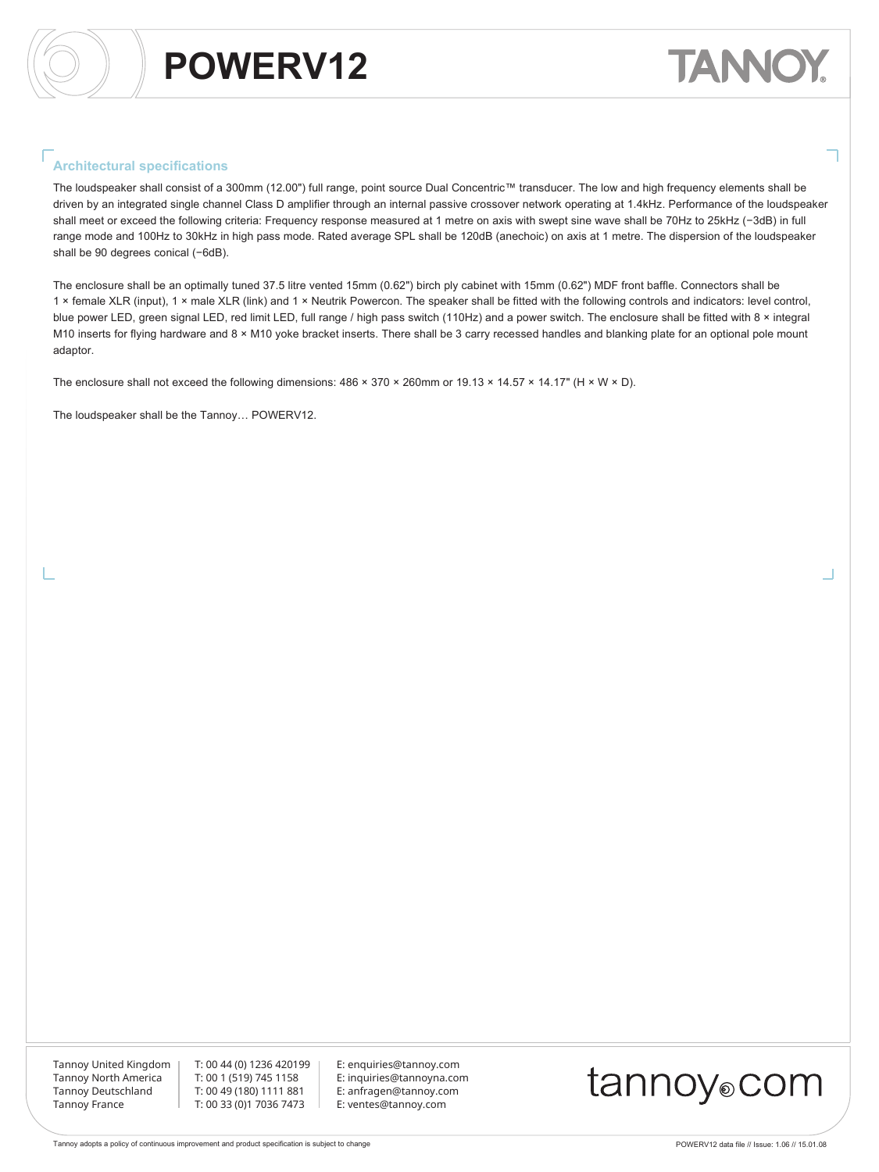# TANN

#### **Architectural specifications**

The loudspeaker shall consist of a 300mm (12.00") full range, point source Dual Concentric™ transducer. The low and high frequency elements shall be driven by an integrated single channel Class D amplifier through an internal passive crossover network operating at 1.4kHz. Performance of the loudspeaker shall meet or exceed the following criteria: Frequency response measured at 1 metre on axis with swept sine wave shall be 70Hz to 25kHz (−3dB) in full range mode and 100Hz to 30kHz in high pass mode. Rated average SPL shall be 120dB (anechoic) on axis at 1 metre. The dispersion of the loudspeaker shall be 90 degrees conical (-6dB).

The enclosure shall be an optimally tuned 37.5 litre vented 15mm (0.62") birch ply cabinet with 15mm (0.62") MDF front baffle. Connectors shall be 1 × female XLR (input), 1 × male XLR (link) and 1 × Neutrik Powercon. The speaker shall be fitted with the following controls and indicators: level control, blue power LED, green signal LED, red limit LED, full range / high pass switch (110Hz) and a power switch. The enclosure shall be fitted with 8 × integral M10 inserts for flying hardware and 8 × M10 yoke bracket inserts. There shall be 3 carry recessed handles and blanking plate for an optional pole mount adaptor.

The enclosure shall not exceed the following dimensions:  $486 \times 370 \times 260$ mm or  $19.13 \times 14.57 \times 14.17$ " (H × W × D).

The loudspeaker shall be the Tannoy… POWERV12.

Tannoy United Kingdom Tannoy North America Tannoy Deutschland Tannoy France

T: 00 44 (0) 1236 420199 T: 00 1 (519) 745 1158 T: 00 49 (180) 1111 881 T: 00 33 (0)1 7036 7473

E: enquiries@tannoy.com E: inquiries@tannoyna.com E: anfragen@tannoy.com E: ventes@tannoy.com